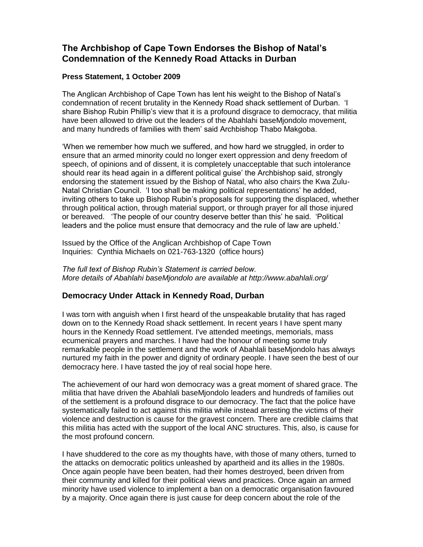## **The Archbishop of Cape Town Endorses the Bishop of Natal's Condemnation of the Kennedy Road Attacks in Durban**

## **Press Statement, 1 October 2009**

The Anglican Archbishop of Cape Town has lent his weight to the Bishop of Natal's condemnation of recent brutality in the Kennedy Road shack settlement of Durban. 'I share Bishop Rubin Phillip's view that it is a profound disgrace to democracy, that militia have been allowed to drive out the leaders of the Abahlahi baseMjondolo movement, and many hundreds of families with them' said Archbishop Thabo Makgoba.

'When we remember how much we suffered, and how hard we struggled, in order to ensure that an armed minority could no longer exert oppression and deny freedom of speech, of opinions and of dissent, it is completely unacceptable that such intolerance should rear its head again in a different political guise' the Archbishop said, strongly endorsing the statement issued by the Bishop of Natal, who also chairs the Kwa Zulu-Natal Christian Council. 'I too shall be making political representations' he added, inviting others to take up Bishop Rubin's proposals for supporting the displaced, whether through political action, through material support, or through prayer for all those injured or bereaved. 'The people of our country deserve better than this' he said. 'Political leaders and the police must ensure that democracy and the rule of law are upheld.'

Issued by the Office of the Anglican Archbishop of Cape Town Inquiries: Cynthia Michaels on 021-763-1320 (office hours)

*The full text of Bishop Rubin's Statement is carried below. More details of Abahlahi baseMjondolo are available at http://www.abahlali.org/*

## **Democracy Under Attack in Kennedy Road, Durban**

I was torn with anguish when I first heard of the unspeakable brutality that has raged down on to the Kennedy Road shack settlement. In recent years I have spent many hours in the Kennedy Road settlement. I've attended meetings, memorials, mass ecumenical prayers and marches. I have had the honour of meeting some truly remarkable people in the settlement and the work of Abahlali baseMjondolo has always nurtured my faith in the power and dignity of ordinary people. I have seen the best of our democracy here. I have tasted the joy of real social hope here.

The achievement of our hard won democracy was a great moment of shared grace. The militia that have driven the Abahlali baseMjondolo leaders and hundreds of families out of the settlement is a profound disgrace to our democracy. The fact that the police have systematically failed to act against this militia while instead arresting the victims of their violence and destruction is cause for the gravest concern. There are credible claims that this militia has acted with the support of the local ANC structures. This, also, is cause for the most profound concern.

I have shuddered to the core as my thoughts have, with those of many others, turned to the attacks on democratic politics unleashed by apartheid and its allies in the 1980s. Once again people have been beaten, had their homes destroyed, been driven from their community and killed for their political views and practices. Once again an armed minority have used violence to implement a ban on a democratic organisation favoured by a majority. Once again there is just cause for deep concern about the role of the